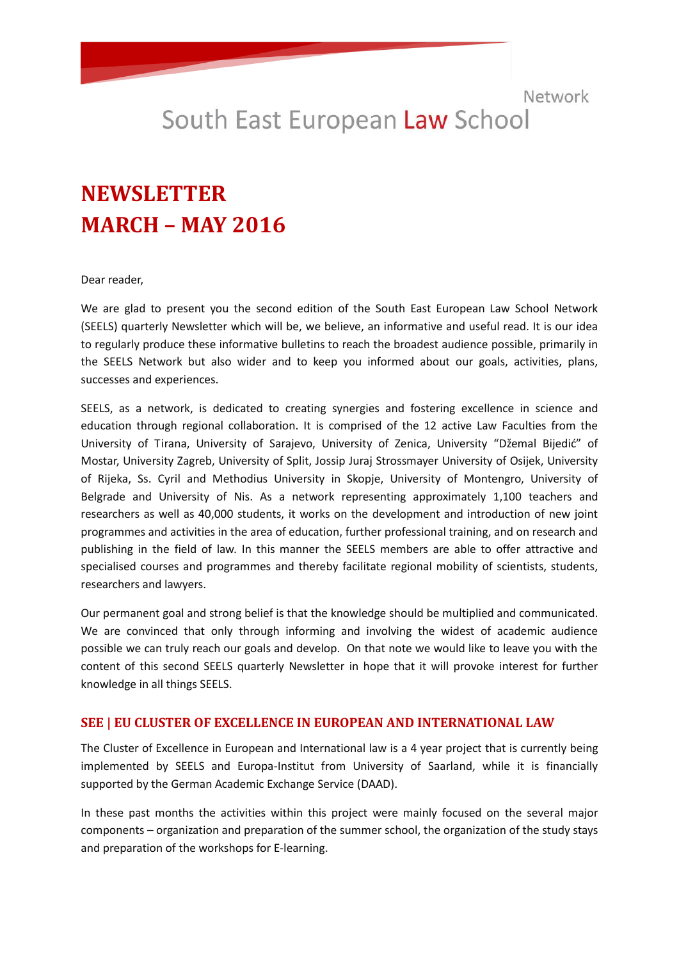# South East European Law School

# **NEWSLETTER MARCH – MAY 2016**

Dear reader,

We are glad to present you the second edition of the South East European Law School Network (SEELS) quarterly Newsletter which will be, we believe, an informative and useful read. It is our idea to regularly produce these informative bulletins to reach the broadest audience possible, primarily in the SEELS Network but also wider and to keep you informed about our goals, activities, plans, successes and experiences.

SEELS, as a network, is dedicated to creating synergies and fostering excellence in science and education through regional collaboration. It is comprised of the 12 active Law Faculties from the University of Tirana, University of Sarajevo, University of Zenica, University "Džemal Bijedić" of Mostar, University Zagreb, University of Split, Jossip Juraj Strossmayer University of Osijek, University of Rijeka, Ss. Cyril and Methodius University in Skopje, University of Montengro, University of Belgrade and University of Nis. As a network representing approximately 1,100 teachers and researchers as well as 40,000 students, it works on the development and introduction of new joint programmes and activities in the area of education, further professional training, and on research and publishing in the field of law. In this manner the SEELS members are able to offer attractive and specialised courses and programmes and thereby facilitate regional mobility of scientists, students, researchers and lawyers.

Our permanent goal and strong belief is that the knowledge should be multiplied and communicated. We are convinced that only through informing and involving the widest of academic audience possible we can truly reach our goals and develop. On that note we would like to leave you with the content of this second SEELS quarterly Newsletter in hope that it will provoke interest for further knowledge in all things SEELS.

#### **SEE | EU CLUSTER OF EXCELLENCE IN EUROPEAN AND INTERNATIONAL LAW**

The Cluster of Excellence in European and International law is a 4 year project that is currently being implemented by SEELS and Europa-Institut from University of Saarland, while it is financially supported by the German Academic Exchange Service (DAAD).

In these past months the activities within this project were mainly focused on the several major components – organization and preparation of the summer school, the organization of the study stays and preparation of the workshops for E-learning.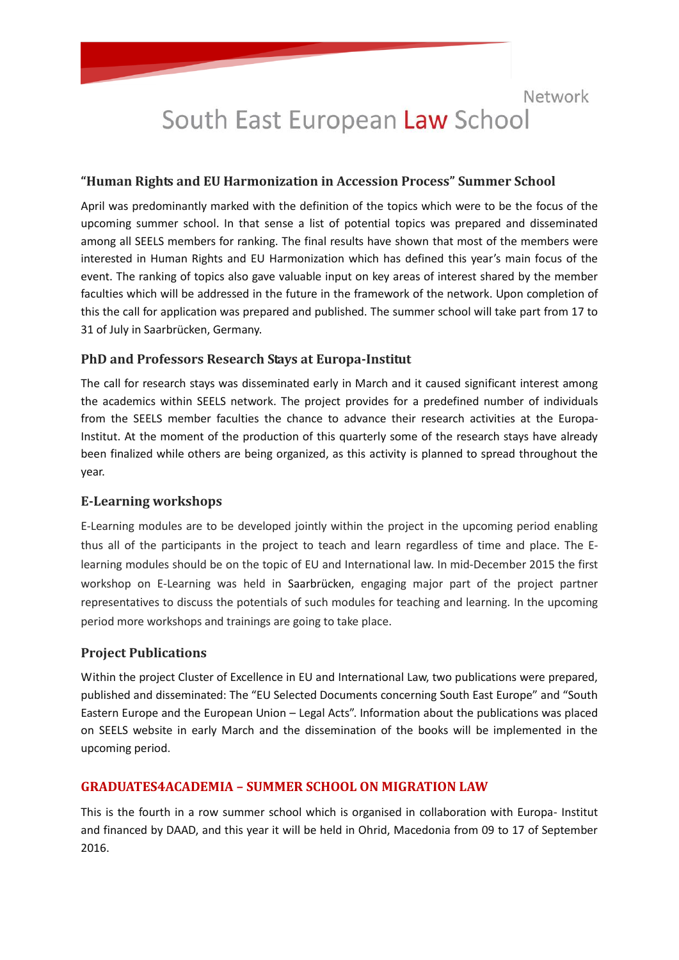# South East European Law School

### **"Human Rights and EU Harmonization in Accession Process" Summer School**

April was predominantly marked with the definition of the topics which were to be the focus of the upcoming summer school. In that sense a list of potential topics was prepared and disseminated among all SEELS members for ranking. The final results have shown that most of the members were interested in Human Rights and EU Harmonization which has defined this year's main focus of the event. The ranking of topics also gave valuable input on key areas of interest shared by the member faculties which will be addressed in the future in the framework of the network. Upon completion of this the call for application was prepared and published. The summer school will take part from 17 to 31 of July in Saarbrücken, Germany.

# **PhD and Professors Research Stays at Europa-Institut**

The call for research stays was disseminated early in March and it caused significant interest among the academics within SEELS network. The project provides for a predefined number of individuals from the SEELS member faculties the chance to advance their research activities at the Europa-Institut. At the moment of the production of this quarterly some of the research stays have already been finalized while others are being organized, as this activity is planned to spread throughout the year.

### **E-Learning workshops**

E-Learning modules are to be developed jointly within the project in the upcoming period enabling thus all of the participants in the project to teach and learn regardless of time and place. The Elearning modules should be on the topic of EU and International law. In mid-December 2015 the first workshop on E-Learning was held in Saarbrücken, engaging major part of the project partner representatives to discuss the potentials of such modules for teaching and learning. In the upcoming period more workshops and trainings are going to take place.

### **Project Publications**

Within the project Cluster of Excellence in EU and International Law, two publications were prepared, published and disseminated: The "EU Selected Documents concerning South East Europe" and "South Eastern Europe and the European Union – Legal Acts". Information about the publications was placed on SEELS website in early March and the dissemination of the books will be implemented in the upcoming period.

### **GRADUATES4ACADEMIA – SUMMER SCHOOL ON MIGRATION LAW**

This is the fourth in a rоw summer school which is organised in collaboration with Europa- Institut and financed by DAAD, and this year it will be held in Ohrid, Macedonia from 09 to 17 of September 2016.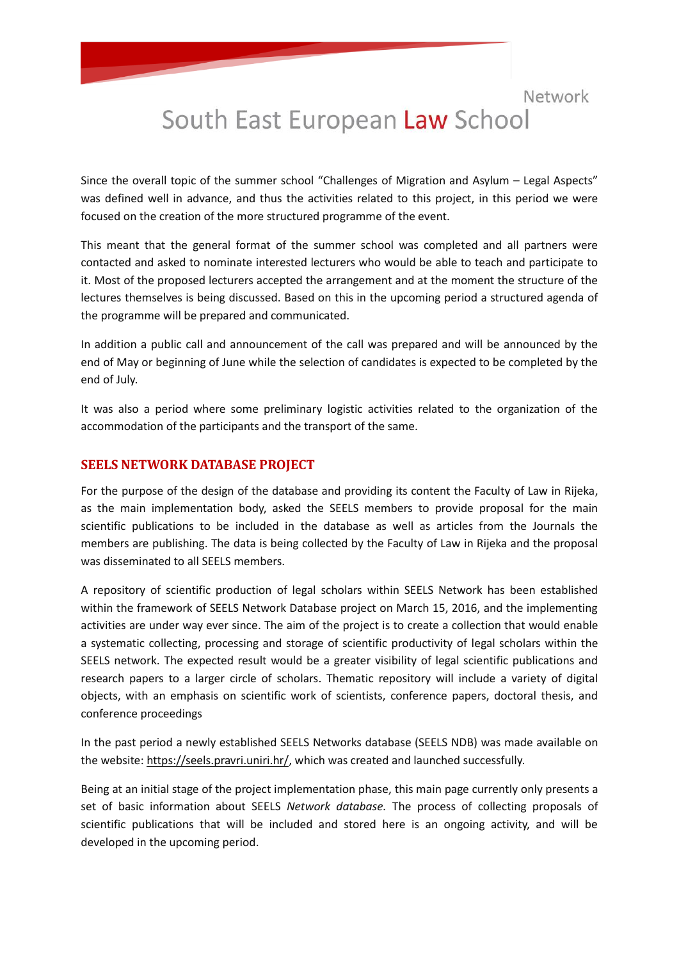# South East European Law School

Since the overall topic of the summer school "Challenges of Migration and Asylum – Legal Aspects" was defined well in advance, and thus the activities related to this project, in this period we were focused on the creation of the more structured programme of the event.

This meant that the general format of the summer school was completed and all partners were contacted and asked to nominate interested lecturers who would be able to teach and participate to it. Most of the proposed lecturers accepted the arrangement and at the moment the structure of the lectures themselves is being discussed. Based on this in the upcoming period a structured agenda of the programme will be prepared and communicated.

In addition a public call and announcement of the call was prepared and will be announced by the end of May or beginning of June while the selection of candidates is expected to be completed by the end of July.

It was also a period where some preliminary logistic activities related to the organization of the accommodation of the participants and the transport of the same.

#### **SEELS NETWORK DATABASE PROJECT**

For the purpose of the design of the database and providing its content the Faculty of Law in Rijeka, as the main implementation body, asked the SEELS members to provide proposal for the main scientific publications to be included in the database as well as articles from the Journals the members are publishing. The data is being collected by the Faculty of Law in Rijeka and the proposal was disseminated to all SEELS members.

A repository of scientific production of legal scholars within SEELS Network has been established within the framework of SEELS Network Database project on March 15, 2016, and the implementing activities are under way ever since. The aim of the project is to create a collection that would enable a systematic collecting, processing and storage of scientific productivity of legal scholars within the SEELS network. The expected result would be a greater visibility of legal scientific publications and research papers to a larger circle of scholars. Thematic repository will include a variety of digital objects, with an emphasis on scientific work of scientists, conference papers, doctoral thesis, and conference proceedings

In the past period a newly established SEELS Networks database (SEELS NDB) was made available on the website[: https://seels.pravri.uniri.hr/,](https://seels.pravri.uniri.hr/) which was created and launched successfully.

Being at an initial stage of the project implementation phase, this main page currently only presents a set of basic information about SEELS *Network database.* The process of collecting proposals of scientific publications that will be included and stored here is an ongoing activity, and will be developed in the upcoming period.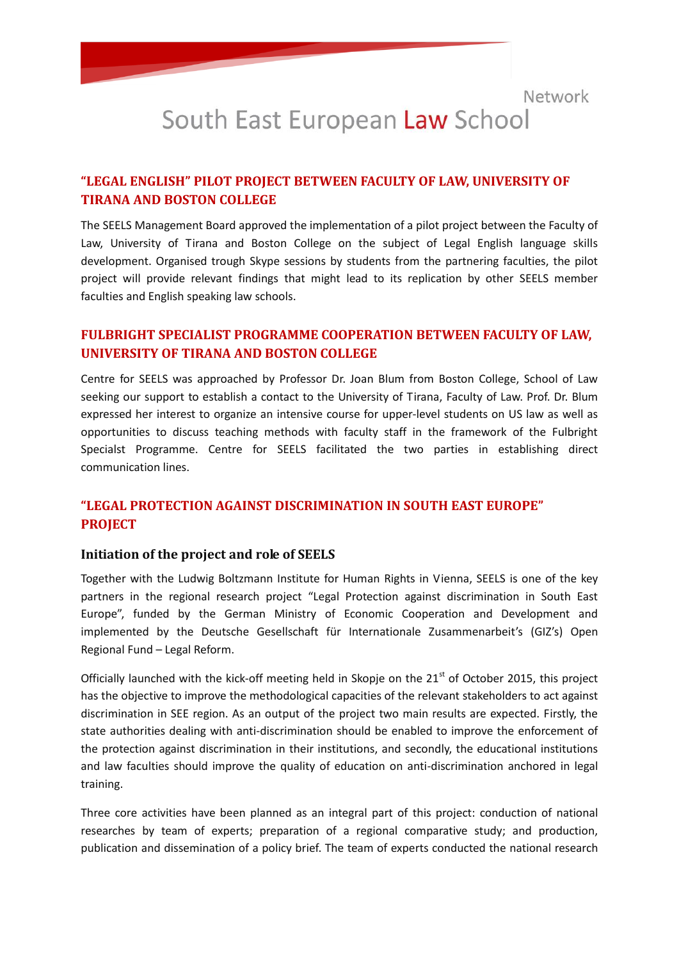# South East European Law School

### **"LEGAL ENGLISH" PILOT PROJECT BETWEEN FACULTY OF LAW, UNIVERSITY OF TIRANA AND BOSTON COLLEGE**

The SEELS Management Board approved the implementation of a pilot project between the Faculty of Law, University of Tirana and Boston College on the subject of Legal English language skills development. Organised trough Skype sessions by students from the partnering faculties, the pilot project will provide relevant findings that might lead to its replication by other SEELS member faculties and English speaking law schools.

# **FULBRIGHT SPECIALIST PROGRAMME COOPERATION BETWEEN FACULTY OF LAW, UNIVERSITY OF TIRANA AND BOSTON COLLEGE**

Centre for SEELS was approached by Professor Dr. Joan Blum from Boston College, School of Law seeking our support to establish a contact to the University of Tirana, Faculty of Law. Prof. Dr. Blum expressed her interest to organize an intensive course for upper-level students on US law as well as opportunities to discuss teaching methods with faculty staff in the framework of the Fulbright Specialst Programme. Centre for SEELS facilitated the two parties in establishing direct communication lines.

# **"LEGAL PROTECTION AGAINST DISCRIMINATION IN SOUTH EAST EUROPE" PROJECT**

#### **Initiation of the project and role of SEELS**

Together with the Ludwig Boltzmann Institute for Human Rights in Vienna, SEELS is one of the key partners in the regional research project "Legal Protection against discrimination in South East Europe", funded by the German Ministry of Economic Cooperation and Development and implemented by the Deutsche Gesellschaft für Internationale Zusammenarbeit's (GIZ's) Open Regional Fund – Legal Reform.

Officially launched with the kick-off meeting held in Skopje on the  $21<sup>st</sup>$  of October 2015, this project has the objective to improve the methodological capacities of the relevant stakeholders to act against discrimination in SEE region. As an output of the project two main results are expected. Firstly, the state authorities dealing with anti-discrimination should be enabled to improve the enforcement of the protection against discrimination in their institutions, and secondly, the educational institutions and law faculties should improve the quality of education on anti-discrimination anchored in legal training.

Three core activities have been planned as an integral part of this project: conduction of national researches by team of experts; preparation of a regional comparative study; and production, publication and dissemination of a policy brief. The team of experts conducted the national research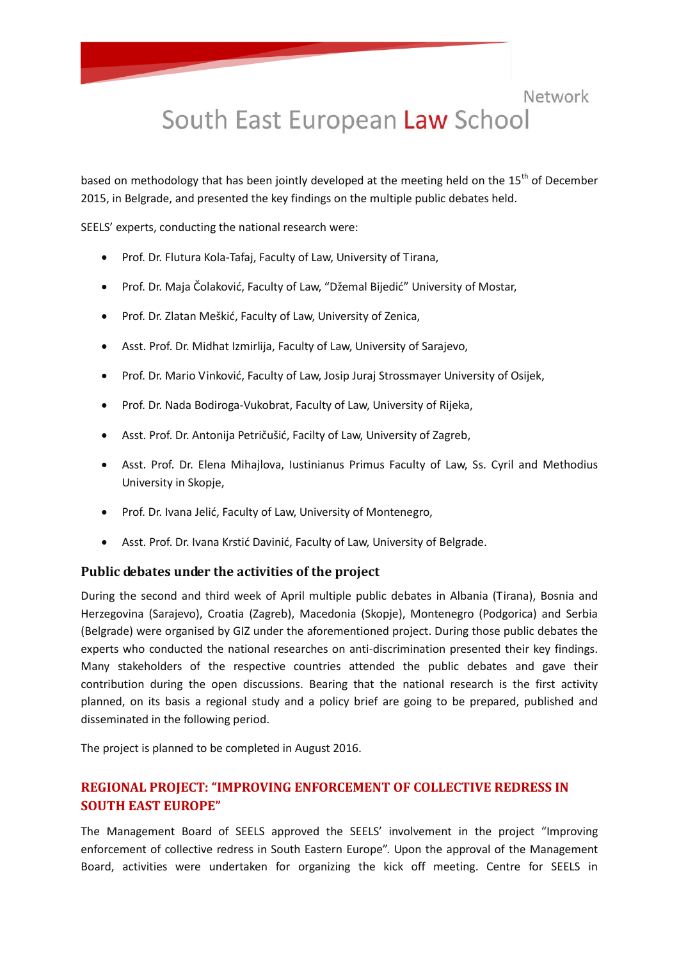# South East European Law School

based on methodology that has been jointly developed at the meeting held on the  $15<sup>th</sup>$  of December 2015, in Belgrade, and presented the key findings on the multiple public debates held.

SEELS' experts, conducting the national research were:

- Prof. Dr. Flutura Kola-Tafaj, Faculty of Law, University of Tirana,
- Prof. Dr. Maja Čolaković, Faculty of Law, "Džemal Bijedić" University of Mostar,
- Prof. Dr. Zlatan Meškić, Faculty of Law, University of Zenica,
- Asst. Prof. Dr. Midhat Izmirlija, Faculty of Law, University of Sarajevo,
- Prof. Dr. Mario Vinković, Faculty of Law, Josip Juraj Strossmayer University of Osijek,
- Prof. Dr. Nada Bodiroga-Vukobrat, Faculty of Law, University of Rijeka,
- Asst. Prof. Dr. Antonija Petričušić, Facilty of Law, University of Zagreb,
- Asst. Prof. Dr. Elena Mihajlova, Iustinianus Primus Faculty of Law, Ss. Cyril and Methodius University in Skopje,
- Prof. Dr. Ivana Jelić, Faculty of Law, University of Montenegro,
- Asst. Prof. Dr. Ivana Krstić Davinić, Faculty of Law, University of Belgrade.

#### **Public debates under the activities of the project**

During the second and third week of April multiple public debates in Albania (Tirana), Bosnia and Herzegovina (Sarajevo), Croatia (Zagreb), Macedonia (Skopje), Montenegro (Podgorica) and Serbia (Belgrade) were organised by GIZ under the aforementioned project. During those public debates the experts who conducted the national researches on anti-discrimination presented their key findings. Many stakeholders of the respective countries attended the public debates and gave their contribution during the open discussions. Bearing that the national research is the first activity planned, on its basis a regional study and a policy brief are going to be prepared, published and disseminated in the following period.

The project is planned to be completed in August 2016.

# **REGIONAL PROJECT: "IMPROVING ENFORCEMENT OF COLLECTIVE REDRESS IN SOUTH EAST EUROPE"**

The Management Board of SEELS approved the SEELS' involvement in the project "Improving enforcement of collective redress in South Eastern Europe". Upon the approval of the Management Board, activities were undertaken for organizing the kick off meeting. Centre for SEELS in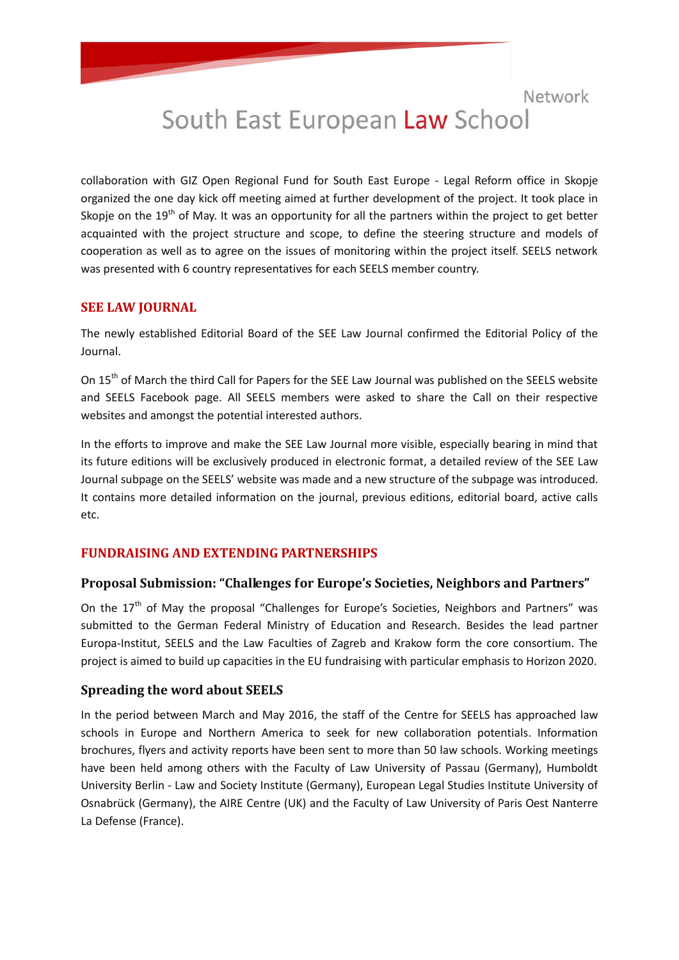# South East European Law School

collaboration with GIZ Open Regional Fund for South East Europe - Legal Reform office in Skopje organized the one day kick off meeting aimed at further development of the project. It took place in Skopje on the  $19<sup>th</sup>$  of May. It was an opportunity for all the partners within the project to get better acquainted with the project structure and scope, to define the steering structure and models of cooperation as well as to agree on the issues of monitoring within the project itself. SEELS network was presented with 6 country representatives for each SEELS member country.

#### **SEE LAW JOURNAL**

The newly established Editorial Board of the SEE Law Journal confirmed the Editorial Policy of the Journal.

On 15<sup>th</sup> of March the third Call for Papers for the SEE Law Journal was published on the SEELS website and SEELS Facebook page. All SEELS members were asked to share the Call on their respective websites and amongst the potential interested authors.

In the efforts to improve and make the SEE Law Journal more visible, especially bearing in mind that its future editions will be exclusively produced in electronic format, a detailed review of the SEE Law Journal subpage on the SEELS' website was made and a new structure of the subpage was introduced. It contains more detailed information on the journal, previous editions, editorial board, active calls etc.

### **FUNDRAISING AND EXTENDING PARTNERSHIPS**

### **Proposal Submission: "Challenges for Europe's Societies, Neighbors and Partners"**

On the 17<sup>th</sup> of May the proposal "Challenges for Europe's Societies, Neighbors and Partners" was submitted to the German Federal Ministry of Education and Research. Besides the lead partner Europa-Institut, SEELS and the Law Faculties of Zagreb and Krakow form the core consortium. The project is aimed to build up capacities in the EU fundraising with particular emphasis to Horizon 2020.

#### **Spreading the word about SEELS**

In the period between March and May 2016, the staff of the Centre for SEELS has approached law schools in Europe and Northern America to seek for new collaboration potentials. Information brochures, flyers and activity reports have been sent to more than 50 law schools. Working meetings have been held among others with the Faculty of Law University of Passau (Germany), Humboldt University Berlin - Law and Society Institute (Germany), European Legal Studies Institute University of Osnabrück (Germany), the AIRE Centre (UK) and the Faculty of Law University of Paris Oest Nanterre La Defense (France).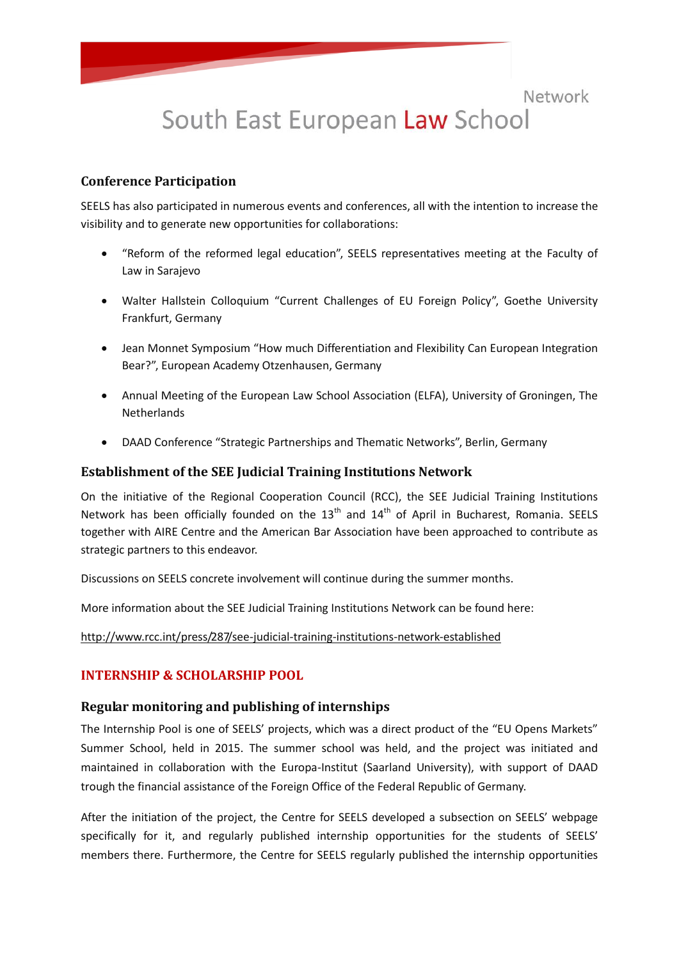# South East European Law School

#### **Conference Participation**

SEELS has also participated in numerous events and conferences, all with the intention to increase the visibility and to generate new opportunities for collaborations:

- "Reform of the reformed legal education", SEELS representatives meeting at the Faculty of Law in Sarajevo
- Walter Hallstein Colloquium "Current Challenges of EU Foreign Policy", Goethe University Frankfurt, Germany
- Jean Monnet Symposium "How much Differentiation and Flexibility Can European Integration Bear?", European Academy Otzenhausen, Germany
- Annual Meeting of the European Law School Association (ELFA), University of Groningen, The **Netherlands**
- DAAD Conference "Strategic Partnerships and Thematic Networks", Berlin, Germany

#### **Establishment of the SEE Judicial Training Institutions Network**

On the initiative of the Regional Cooperation Council (RCC), the SEE Judicial Training Institutions Network has been officially founded on the  $13<sup>th</sup>$  and  $14<sup>th</sup>$  of April in Bucharest, Romania. SEELS together with AIRE Centre and the American Bar Association have been approached to contribute as strategic partners to this endeavor.

Discussions on SEELS concrete involvement will continue during the summer months.

More information about the SEE Judicial Training Institutions Network can be found here:

<http://www.rcc.int/press/287/see-judicial-training-institutions-network-established>

### **INTERNSHIP & SCHOLARSHIP POOL**

#### **Regular monitoring and publishing of internships**

The Internship Pool is one of SEELS' projects, which was a direct product of the "EU Opens Markets" Summer School, held in 2015. The summer school was held, and the project was initiated and maintained in collaboration with the Europa-Institut (Saarland University), with support of DAAD trough the financial assistance of the Foreign Office of the Federal Republic of Germany.

After the initiation of the project, the Centre for SEELS developed a subsection on SEELS' webpage specifically for it, and regularly published internship opportunities for the students of SEELS' members there. Furthermore, the Centre for SEELS regularly published the internship opportunities